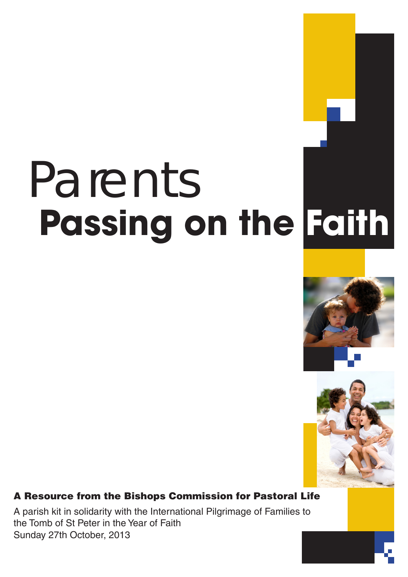# Parents **Passing on the Faith**





#### A Resource from the Bishops Commission for Pastoral Life

A parish kit in solidarity with the International Pilgrimage of Families to the Tomb of St Peter in the Year of Faith Sunday 27th October, 2013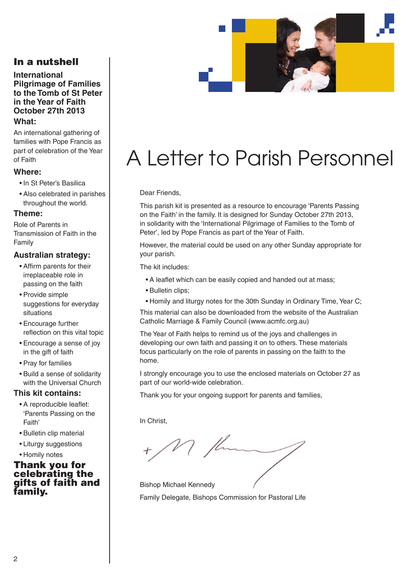#### In a nutshell

**International Pilgrimage of Families to the Tomb of St Peter in the Year of Faith October 27th 2013 What:**

An international gathering of families with Pope Francis as part of celebration of the Year of Faith

#### **Where:**

- In St Peter's Basilica
- Also celebrated in parishes throughout the world.

#### **Theme:**

Role of Parents in Transmission of Faith in the Family

#### **Australian strategy:**

- Affirm parents for their irreplaceable role in passing on the faith
- Provide simple suggestions for everyday situations
- Encourage further reflection on this vital topic
- Encourage a sense of joy in the gift of faith
- Pray for families
- Build a sense of solidarity with the Universal Church

#### **This kit contains:**

- A reproducible leaflet: 'Parents Passing on the Faith'
- Bulletin clip material
- Liturgy suggestions
- Homily notes

#### Thank you for celebrating the gifts of faith and family.



### A Letter to Parish Personnel

#### Dear Friends,

This parish kit is presented as a resource to encourage 'Parents Passing on the Faith' in the family. It is designed for Sunday October 27th 2013, in solidarity with the 'International Pilgrimage of Families to the Tomb of Peter', led by Pope Francis as part of the Year of Faith.

However, the material could be used on any other Sunday appropriate for your parish.

The kit includes:

- A leaflet which can be easily copied and handed out at mass;
- Bulletin clips;
- Homily and liturgy notes for the 30th Sunday in Ordinary Time, Year C;

This material can also be downloaded from the website of the Australian Catholic Marriage & Family Council (www.acmfc.org.au)

The Year of Faith helps to remind us of the joys and challenges in developing our own faith and passing it on to others. These materials focus particularly on the role of parents in passing on the faith to the home.

I strongly encourage you to use the enclosed materials on October 27 as part of our world-wide celebration.

Thank you for your ongoing support for parents and families,

In Christ,

Bishop Michael Kennedy Family Delegate, Bishops Commission for Pastoral Life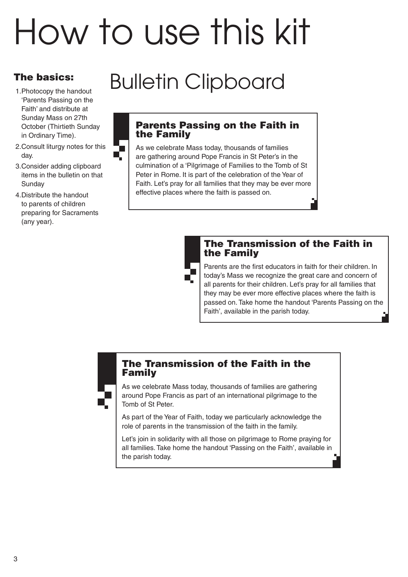## How to use this kit

#### The basics:

1.Photocopy the handout 'Parents Passing on the Faith' and distribute at Sunday Mass on 27th October (Thirtieth Sunday in Ordinary Time).

2.Consult liturgy notes for this day.

a a s

- 3.Consider adding clipboard items in the bulletin on that **Sunday**
- 4.Distribute the handout to parents of children preparing for Sacraments (any year).

### Bulletin Clipboard



As we celebrate Mass today, thousands of families are gathering around Pope Francis in St Peter's in the culmination of a 'Pilgrimage of Families to the Tomb of St Peter in Rome. It is part of the celebration of the Year of Faith. Let's pray for all families that they may be ever more effective places where the faith is passed on.

#### The Transmission of the Faith in the Family

Parents are the first educators in faith for their children. In today's Mass we recognize the great care and concern of all parents for their children. Let's pray for all families that they may be ever more effective places where the faith is passed on. Take home the handout 'Parents Passing on the Faith', available in the parish today.

#### The Transmission of the Faith in the Family

As we celebrate Mass today, thousands of families are gathering around Pope Francis as part of an international pilgrimage to the Tomb of St Peter.

As part of the Year of Faith, today we particularly acknowledge the role of parents in the transmission of the faith in the family.

Let's join in solidarity with all those on pilgrimage to Rome praying for all families. Take home the handout 'Passing on the Faith', available in the parish today.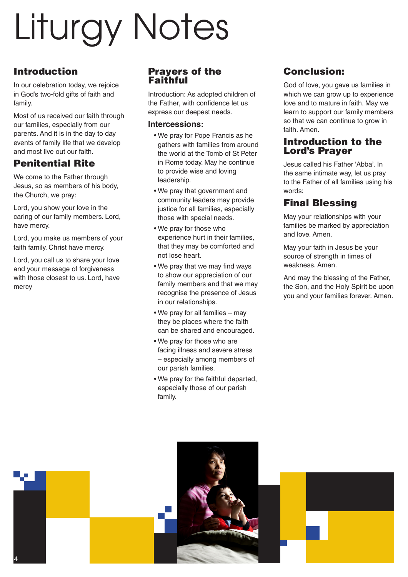## Liturgy Notes

### Introduction

In our celebration today, we rejoice in God's two-fold gifts of faith and family.

Most of us received our faith through our families, especially from our parents. And it is in the day to day events of family life that we develop and most live out our faith.

#### Penitential Rite

We come to the Father through Jesus, so as members of his body, the Church, we pray:

Lord, you show your love in the caring of our family members. Lord, have mercy.

Lord, you make us members of your faith family. Christ have mercy.

Lord, you call us to share your love and your message of forgiveness with those closest to us. Lord, have mercy

#### Prayers of the Faithful

Introduction: As adopted children of the Father, with confidence let us express our deepest needs.

#### **Intercessions:**

- We pray for Pope Francis as he gathers with families from around the world at the Tomb of St Peter in Rome today. May he continue to provide wise and loving leadership.
- We pray that government and community leaders may provide justice for all families, especially those with special needs.
- We pray for those who experience hurt in their families, that they may be comforted and not lose heart.
- We pray that we may find ways to show our appreciation of our family members and that we may recognise the presence of Jesus in our relationships.
- We pray for all families may they be places where the faith can be shared and encouraged.
- We pray for those who are facing illness and severe stress – especially among members of our parish families.
- We pray for the faithful departed, especially those of our parish family.

### Conclusion:

God of love, you gave us families in which we can grow up to experience love and to mature in faith. May we learn to support our family members so that we can continue to grow in faith. Amen.

#### Introduction to the Lord's Prayer

Jesus called his Father 'Abba'. In the same intimate way, let us pray to the Father of all families using his words:

#### Final Blessing

May your relationships with your families be marked by appreciation and love. Amen.

May your faith in Jesus be your source of strength in times of weakness. Amen.

And may the blessing of the Father, the Son, and the Holy Spirit be upon you and your families forever. Amen.